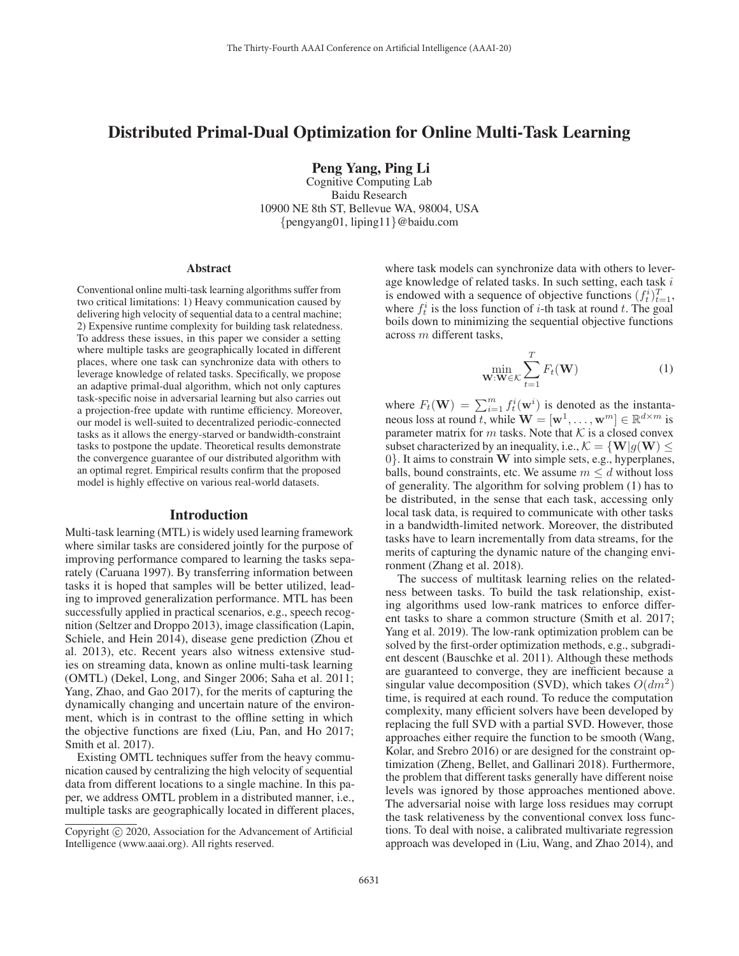# Distributed Primal-Dual Optimization for Online Multi-Task Learning

Peng Yang, Ping Li

Cognitive Computing Lab Baidu Research 10900 NE 8th ST, Bellevue WA, 98004, USA {pengyang01, liping11}@baidu.com

#### **Abstract**

Conventional online multi-task learning algorithms suffer from two critical limitations: 1) Heavy communication caused by delivering high velocity of sequential data to a central machine; 2) Expensive runtime complexity for building task relatedness. To address these issues, in this paper we consider a setting where multiple tasks are geographically located in different places, where one task can synchronize data with others to leverage knowledge of related tasks. Specifically, we propose an adaptive primal-dual algorithm, which not only captures task-specific noise in adversarial learning but also carries out a projection-free update with runtime efficiency. Moreover, our model is well-suited to decentralized periodic-connected tasks as it allows the energy-starved or bandwidth-constraint tasks to postpone the update. Theoretical results demonstrate the convergence guarantee of our distributed algorithm with an optimal regret. Empirical results confirm that the proposed model is highly effective on various real-world datasets.

#### Introduction

Multi-task learning (MTL) is widely used learning framework where similar tasks are considered jointly for the purpose of improving performance compared to learning the tasks separately (Caruana 1997). By transferring information between tasks it is hoped that samples will be better utilized, leading to improved generalization performance. MTL has been successfully applied in practical scenarios, e.g., speech recognition (Seltzer and Droppo 2013), image classification (Lapin, Schiele, and Hein 2014), disease gene prediction (Zhou et al. 2013), etc. Recent years also witness extensive studies on streaming data, known as online multi-task learning (OMTL) (Dekel, Long, and Singer 2006; Saha et al. 2011; Yang, Zhao, and Gao 2017), for the merits of capturing the dynamically changing and uncertain nature of the environment, which is in contrast to the offline setting in which the objective functions are fixed (Liu, Pan, and Ho 2017; Smith et al. 2017).

Existing OMTL techniques suffer from the heavy communication caused by centralizing the high velocity of sequential data from different locations to a single machine. In this paper, we address OMTL problem in a distributed manner, i.e., multiple tasks are geographically located in different places, where task models can synchronize data with others to leverage knowledge of related tasks. In such setting, each task  $i$ is endowed with a sequence of objective functions  $(f_t^i)_{t=1}^T$ ,<br>where  $f_t^i$  is the loss function of *i*-th task at round t. The soal where  $f_t^i$  is the loss function of *i*-th task at round *t*. The goal boils down to minimizing the sequential objective functions across m different tasks,

$$
\min_{\mathbf{W}: \mathbf{W} \in \mathcal{K}} \sum_{t=1}^{T} F_t(\mathbf{W})
$$
\n(1)

where  $F_t(\mathbf{W}) = \sum_{i=1}^m f_t^i(\mathbf{w}^i)$  is denoted as the instanta-<br>neous loss at round t, while  $\mathbf{W} = [\mathbf{w}^1 \quad \mathbf{w}^m] \in \mathbb{R}^{d \times m}$  is neous loss at round t, while  $\mathbf{W} = [\mathbf{w}^1, \dots, \mathbf{w}^m] \in \mathbb{R}^{d \times m}$  is parameter matrix for m tasks. Note that  $K$  is a closed convex subset characterized by an inequality, i.e.,  $\mathcal{K} = \{ \mathbf{W} | g(\mathbf{W}) \leq \mathbf{W} \}$ <sup>0</sup>}. It aims to constrain **<sup>W</sup>** into simple sets, e.g., hyperplanes, balls, bound constraints, etc. We assume  $m \le d$  without loss of generality. The algorithm for solving problem (1) has to be distributed, in the sense that each task, accessing only local task data, is required to communicate with other tasks in a bandwidth-limited network. Moreover, the distributed tasks have to learn incrementally from data streams, for the merits of capturing the dynamic nature of the changing environment (Zhang et al. 2018).

The success of multitask learning relies on the relatedness between tasks. To build the task relationship, existing algorithms used low-rank matrices to enforce different tasks to share a common structure (Smith et al. 2017; Yang et al. 2019). The low-rank optimization problem can be solved by the first-order optimization methods, e.g., subgradient descent (Bauschke et al. 2011). Although these methods are guaranteed to converge, they are inefficient because a singular value decomposition (SVD), which takes  $O(dm^2)$ time, is required at each round. To reduce the computation complexity, many efficient solvers have been developed by replacing the full SVD with a partial SVD. However, those approaches either require the function to be smooth (Wang, Kolar, and Srebro 2016) or are designed for the constraint optimization (Zheng, Bellet, and Gallinari 2018). Furthermore, the problem that different tasks generally have different noise levels was ignored by those approaches mentioned above. The adversarial noise with large loss residues may corrupt the task relativeness by the conventional convex loss functions. To deal with noise, a calibrated multivariate regression approach was developed in (Liu, Wang, and Zhao 2014), and

Copyright  $\odot$  2020, Association for the Advancement of Artificial Intelligence (www.aaai.org). All rights reserved.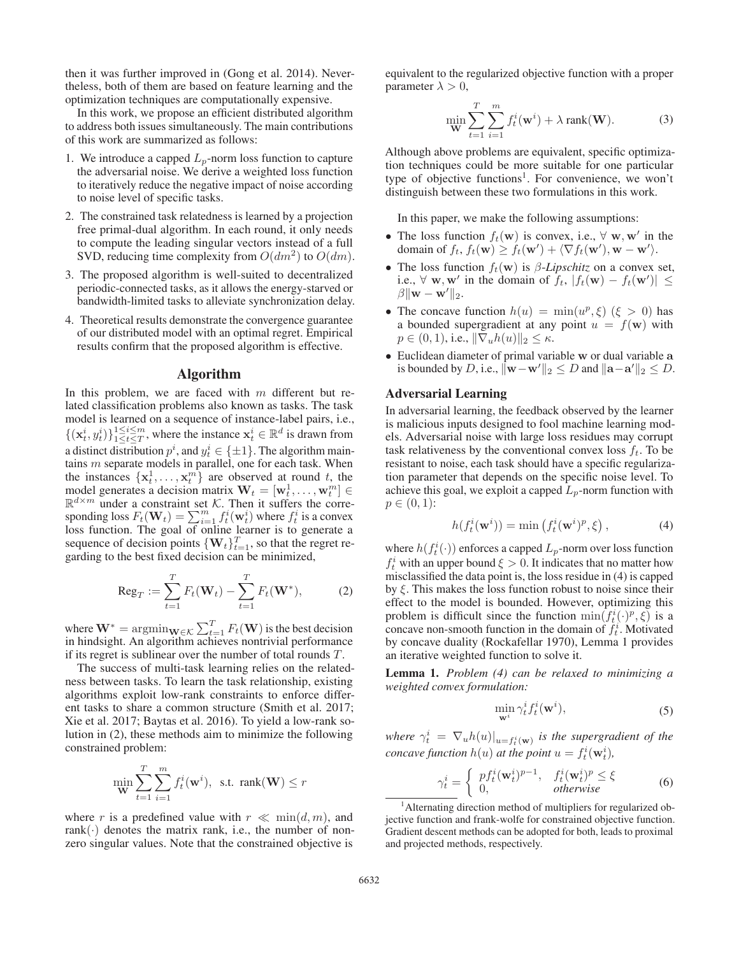then it was further improved in (Gong et al. 2014). Nevertheless, both of them are based on feature learning and the optimization techniques are computationally expensive.

In this work, we propose an efficient distributed algorithm to address both issues simultaneously. The main contributions of this work are summarized as follows:

- 1. We introduce a capped  $L_p$ -norm loss function to capture the adversarial noise. We derive a weighted loss function to iteratively reduce the negative impact of noise according to noise level of specific tasks.
- 2. The constrained task relatedness is learned by a projection free primal-dual algorithm. In each round, it only needs to compute the leading singular vectors instead of a full SVD, reducing time complexity from  $O(dm^2)$  to  $O(dm)$ .
- 3. The proposed algorithm is well-suited to decentralized periodic-connected tasks, as it allows the energy-starved or bandwidth-limited tasks to alleviate synchronization delay.
- 4. Theoretical results demonstrate the convergence guarantee of our distributed model with an optimal regret. Empirical results confirm that the proposed algorithm is effective.

#### Algorithm

In this problem, we are faced with  $m$  different but related classification problems also known as tasks. The task model is learned on a sequence of instance-label pairs, i.e.,  $\{(x_t^i, y_t^i)\}_{1 \leq t \leq T}^{1 \leq i \leq m}$ , where the instance  $x_t^i \in \mathbb{R}^d$  is drawn from a distinct distribution  $p^i$ , and  $y^i_t \in {\pm 1}$ . The algorithm main-<br>tains m separate models in parallel one for each task. When tains m separate models in parallel, one for each task. When the instances  $\{x^1_t, \ldots, x^{m}_t\}$  are observed at round t, the model generates a decision matrix  $\mathbf{W}_t = [\mathbf{w}_t^1, \dots, \mathbf{w}_t^m] \in \mathbb{R}^{d \times m}$  under a constraint set K. Then it suffers the corremodel generates a decision matrix  $\mathbf{W}_t = [\mathbf{w}_t^1, \dots, \mathbf{w}_t^m] \in$ sponding loss  $F_t(\mathbf{W}_t) = \sum_{i=1}^m f_t^i(\mathbf{w}_t^i)$  where  $f_t^i$  is a convex<br>loss function. The goal of online learner is to generate a loss function. The goal of online learner is to generate a sequence of decision points  $\{W_t\}_{t=1}^T$ , so that the regret regarding to the best fixed decision can be minimized,

$$
\text{Reg}_T := \sum_{t=1}^T F_t(\mathbf{W}_t) - \sum_{t=1}^T F_t(\mathbf{W}^*), \tag{2}
$$

where  $\mathbf{W}^* = \operatorname{argmin}_{\mathbf{W} \in \mathcal{K}} \sum_{t=1}^T F_t(\mathbf{W})$  is the best decision in hindsight. An algorithm achieves nontrivial performance if its regret is sublinear over the number of total rounds T.

The success of multi-task learning relies on the relatedness between tasks. To learn the task relationship, existing algorithms exploit low-rank constraints to enforce different tasks to share a common structure (Smith et al. 2017; Xie et al. 2017; Baytas et al. 2016). To yield a low-rank solution in (2), these methods aim to minimize the following constrained problem:

$$
\min_{\mathbf{W}} \sum_{t=1}^{T} \sum_{i=1}^{m} f_t^i(\mathbf{w}^i), \text{ s.t. } \text{rank}(\mathbf{W}) \le r
$$

where r is a predefined value with  $r \ll \min(d, m)$ , and rank $(\cdot)$  denotes the matrix rank, i.e., the number of nonzero singular values. Note that the constrained objective is

equivalent to the regularized objective function with a proper parameter  $\lambda > 0$ ,

$$
\min_{\mathbf{W}} \sum_{t=1}^{T} \sum_{i=1}^{m} f_t^i(\mathbf{w}^i) + \lambda \operatorname{rank}(\mathbf{W}).
$$
 (3)

Although above problems are equivalent, specific optimization techniques could be more suitable for one particular type of objective functions<sup>1</sup>. For convenience, we won't distinguish between these two formulations in this work.

In this paper, we make the following assumptions:

- The loss function  $f_t(\mathbf{w})$  is convex, i.e.,  $\forall$  **w**, **w**' in the domain of  $f_t$ ,  $f_t(\mathbf{w}) \ge f_t(\mathbf{w}') + \langle \nabla f_t(\mathbf{w}'), \mathbf{w} - \mathbf{w}' \rangle$ .
- The loss function  $f_t(\mathbf{w})$  is  $\beta$ -*Lipschitz* on a convex set, i.e.,  $\forall$  **w**, **w**' in the domain of  $f_t$ ,  $|f_t(\mathbf{w}) - f_t(\mathbf{w}')|$  ≤  $\beta$ ||**w** − **w**'||0  $\beta \|\mathbf{w} - \mathbf{w}'\|_2.$
- The concave function  $h(u) = \min(u^p, \xi)$   $(\xi > 0)$  has a bounded supergradient at any point  $u = f(\mathbf{w})$  with  $p \in (0, 1)$ , i.e.,  $\|\nabla_u h(u)\|_2 \leq \kappa$ .
- Euclidean diameter of primal variable **w** or dual variable **a** is bounded by D, i.e.,  $\|\mathbf{w}-\mathbf{w}'\|_2 \leq D$  and  $\|\mathbf{a}-\mathbf{a}'\|_2 \leq D$ .

## Adversarial Learning

In adversarial learning, the feedback observed by the learner is malicious inputs designed to fool machine learning models. Adversarial noise with large loss residues may corrupt task relativeness by the conventional convex loss  $f_t$ . To be resistant to noise, each task should have a specific regularization parameter that depends on the specific noise level. To achieve this goal, we exploit a capped  $L_p$ -norm function with  $p \in (0, 1)$ :

$$
h(f_t^i(\mathbf{w}^i)) = \min\left(f_t^i(\mathbf{w}^i)^p, \xi\right),\tag{4}
$$

where  $h(f_t^i(\cdot))$  enforces a capped  $L_p$ -norm over loss function  $f^i$  with an unner bound  $\xi > 0$ . It indicates that no matter how  $f_t^i$  with an upper bound  $\xi > 0$ . It indicates that no matter how<br>misclassified the data point is the loss residue in (4) is canned misclassified the data point is, the loss residue in (4) is capped by  $\xi$ . This makes the loss function robust to noise since their effect to the model is bounded. However, optimizing this problem is difficult since the function  $\min(f_t^i(\cdot)^p, \xi)$  is a concave non-smooth function in the domain of  $f_t^i$ . Motivated concave non-smooth function in the domain of  $f_t^i$ . Motivated by concave duality (Rockafellar 1970), Lemma 1 provides an iterative weighted function to solve it.

Lemma 1. *Problem (4) can be relaxed to minimizing a weighted convex formulation:*

$$
\min_{\mathbf{w}^i} \gamma_t^i f_t^i(\mathbf{w}^i),\tag{5}
$$

*where*  $\gamma_t^i = \nabla_u h(u)|_{u=f_t^i(\mathbf{w})}$  *is the supergradient of the concave function*  $h(u)$  *at the point*  $u = f_t^i(\mathbf{w}_t^i)$ *,* 

$$
\gamma_t^i = \begin{cases} p f_t^i(\mathbf{w}_t^i)^{p-1}, & f_t^i(\mathbf{w}_t^i)^p \le \xi \\ 0, & \text{otherwise} \end{cases} \tag{6}
$$

<sup>&</sup>lt;sup>1</sup> Alternating direction method of multipliers for regularized objective function and frank-wolfe for constrained objective function. Gradient descent methods can be adopted for both, leads to proximal and projected methods, respectively.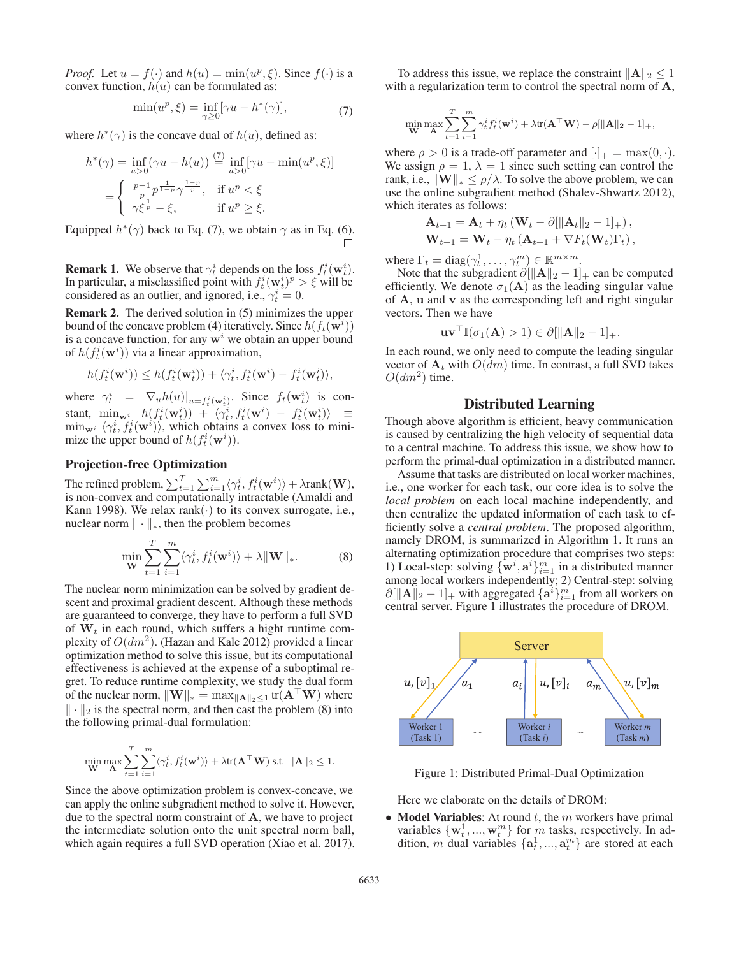*Proof.* Let  $u = f(\cdot)$  and  $h(u) = \min(u^p, \xi)$ . Since  $f(\cdot)$  is a convex function,  $h(u)$  can be formulated as:

$$
\min(u^p, \xi) = \inf_{\gamma \ge 0} [\gamma u - h^*(\gamma)],\tag{7}
$$

where  $h^*(\gamma)$  is the concave dual of  $h(u)$ , defined as:

$$
h^*(\gamma) = \inf_{u>0} (\gamma u - h(u)) \stackrel{(7)}{=} \inf_{u>0} [\gamma u - \min(u^p, \xi)]
$$
  
= 
$$
\begin{cases} \frac{p-1}{p} p^{\frac{1}{1-p}} \gamma^{\frac{1-p}{p}}, & \text{if } u^p < \xi \\ \gamma \xi^{\frac{1}{p}} - \xi, & \text{if } u^p \ge \xi. \end{cases}
$$

Equipped  $h^*(\gamma)$  back to Eq. (7), we obtain  $\gamma$  as in Eq. (6).

**Remark 1.** We observe that  $\gamma_t^i$  depends on the loss  $f_t^i(\mathbf{w}_t^i)$ .<br>In particular, a misclassified point with  $f_t^i(\mathbf{w}_t^i)^p > \xi$  will be In particular, a misclassified point with  $f_t^i(\mathbf{w}_t^i)^p > \xi$  will be considered as an outlier and ignored i.e.  $\gamma_t^i = 0$ considered as an outlier, and ignored, i.e.,  $\gamma_t^i = 0$ .

Remark 2. The derived solution in (5) minimizes the upper bound of the concave problem (4) iteratively. Since  $h(f_t(\mathbf{w}^i))$ is a concave function, for any  $w^i$  we obtain an upper bound of  $h(f_t^i(\mathbf{w}^i))$  via a linear approximation,

$$
h(f_t^i(\mathbf{w}^i)) \le h(f_t^i(\mathbf{w}_t^i)) + \langle \gamma_t^i, f_t^i(\mathbf{w}^i) - f_t^i(\mathbf{w}_t^i) \rangle,
$$

where  $\gamma_t^i = \nabla_u h(u)|_{u=f_t^i(\mathbf{w}_t^i)}$ . Since  $f_t(\mathbf{w}_t^i)$  is con-<br>the standard principle is  $f_t(x_t^i)$  is  $f_t^i(x_t^i)$  in  $f_t^i(x_t^i)$  in  $f_t^i(x_t^i)$  in  $f_t^i(x_t^i)$ stant,  $\min_{\mathbf{w}^i} h(f_t^i(\mathbf{w}^i_t)) + \langle \gamma_t^i, f_t^i(\mathbf{w}^i) - f_t^i(\mathbf{w}^i_t) \rangle = \min_{\mathbf{w}^i} \langle \gamma_t^i, f_t^i(\mathbf{w}^i) \rangle$ , which obtains a convex loss to mini-<br>mize the upper bound of  $h(f^i(\mathbf{w}^i))$ mize the upper bound of  $h(f_t^i(\mathbf{w}^i))$ .

# Projection-free Optimization

The refined problem,  $\sum_{t=1}^{T} \sum_{i=1}^{m} \langle \gamma_t^i, f_t^i(\mathbf{w}^i) \rangle + \lambda \text{rank}(\mathbf{W})$ , is non-convex and computationally intractable (Amaldi and Kann 1998). We relax rank $(\cdot)$  to its convex surrogate, i.e., nuclear norm  $\|\cdot\|_*$ , then the problem becomes

$$
\min_{\mathbf{W}} \sum_{t=1}^{T} \sum_{i=1}^{m} \langle \gamma_t^i, f_t^i(\mathbf{w}^i) \rangle + \lambda \|\mathbf{W}\|_*.
$$
 (8)

The nuclear norm minimization can be solved by gradient descent and proximal gradient descent. Although these methods are guaranteed to converge, they have to perform a full SVD of  $W_t$  in each round, which suffers a hight runtime complexity of  $O(dm^2)$ . (Hazan and Kale 2012) provided a linear optimization method to solve this issue, but its computational effectiveness is achieved at the expense of a suboptimal regret. To reduce runtime complexity, we study the dual form of the nuclear norm,  $\|\mathbf{W}\|_{*} = \max_{\|\mathbf{A}\|_{2} \leq 1} \text{tr}(\mathbf{A}^{\top}\mathbf{W})$  where  $\|\cdot\|_2$  is the spectral norm, and then cast the problem (8) into the following primal-dual formulation:

$$
\min_{\mathbf{W}} \max_{\mathbf{A}} \sum_{t=1}^{T} \sum_{i=1}^{m} \langle \gamma_t^i, f_t^i(\mathbf{w}^i) \rangle + \lambda \text{tr}(\mathbf{A}^\top \mathbf{W}) \text{ s.t. } ||\mathbf{A}||_2 \leq 1.
$$

Since the above optimization problem is convex-concave, we can apply the online subgradient method to solve it. However, due to the spectral norm constraint of **A**, we have to project the intermediate solution onto the unit spectral norm ball, which again requires a full SVD operation (Xiao et al. 2017).

To address this issue, we replace the constraint  $||A||_2 \le 1$ <br>th a regularization term to control the spectral norm of A with a regularization term to control the spectral norm of **A**,

$$
\min_{\mathbf{W}} \max_{\mathbf{A}} \sum_{t=1}^T \sum_{i=1}^m \gamma_t^i f_t^i(\mathbf{w}^i) + \lambda \text{tr}(\mathbf{A}^\top \mathbf{W}) - \rho[\|\mathbf{A}\|_2 - 1]_+,
$$

where  $\rho > 0$  is a trade-off parameter and  $[\cdot]_+ = \max(0, \cdot)$ . We assign  $\rho = 1$ ,  $\lambda = 1$  since such setting can control the rank, i.e.,  $\|\mathbf{W}\|_{*} \leq \rho/\lambda$ . To solve the above problem, we can use the online subgradient method (Shalev-Shwartz 2012), which iterates as follows:

$$
\mathbf{A}_{t+1} = \mathbf{A}_t + \eta_t (\mathbf{W}_t - \partial [\|\mathbf{A}_t\|_2 - 1]_+),
$$
  

$$
\mathbf{W}_{t+1} = \mathbf{W}_t - \eta_t (\mathbf{A}_{t+1} + \nabla F_t(\mathbf{W}_t) \Gamma_t),
$$

where  $\Gamma_t = \text{diag}(\gamma_t^1, \dots, \gamma_t^m) \in \mathbb{R}^{m \times m}$ .<br>Note that the subgradient  $\partial \|\mathbf{A}\|_{\infty} = 1$ 

Note that the subgradient  $\partial [\|\mathbf{A}\|_2 - 1]_+$  can be computed<br>iciently We denote  $\sigma_1(\mathbf{A})$  as the leading singular value efficiently. We denote  $\sigma_1(A)$  as the leading singular value of **A**, **u** and **v** as the corresponding left and right singular vectors. Then we have

$$
\textbf{iv}^{\top}\mathbb{I}(\sigma_1(\mathbf{A}) > 1) \in \partial [\|\mathbf{A}\|_2 - 1]_+.
$$

 $\mathbf{u}\mathbf{v}^{\top}\mathbb{I}(\sigma_1(\mathbf{A}) > 1) \in \partial[\|\mathbf{A}\|_2 - 1]_+.$ <br>In each round, we only need to compute the leading singular vector of  $A_t$  with  $O(dm)$  time. In contrast, a full SVD takes  $O(dm^2)$  time.

# Distributed Learning

Though above algorithm is efficient, heavy communication is caused by centralizing the high velocity of sequential data to a central machine. To address this issue, we show how to perform the primal-dual optimization in a distributed manner.

Assume that tasks are distributed on local worker machines, i.e., one worker for each task, our core idea is to solve the *local problem* on each local machine independently, and then centralize the updated information of each task to efficiently solve a *central problem*. The proposed algorithm, namely DROM, is summarized in Algorithm 1. It runs an alternating optimization procedure that comprises two steps: 1) Local-step: solving  $\{\mathbf{w}^i, \mathbf{a}^i\}_{i=1}^m$  in a distributed manner among local workers independently; 2) Central-step: solving  $\partial [\|\mathbf{A}\|_2 - 1]_+$  with aggregated  $\{\mathbf{a}^i\}_{i=1}^m$  from all workers on central server. Figure 1 illustrates the procedure of DROM central server. Figure 1 illustrates the procedure of DROM.



Figure 1: Distributed Primal-Dual Optimization

Here we elaborate on the details of DROM:

• Model Variables: At round  $t$ , the  $m$  workers have primal variables  $\{w_t^1, ..., w_t^m\}$  for m tasks, respectively. In addition, m dual variables  $\{a_t^1, ..., a_t^m\}$  are stored at each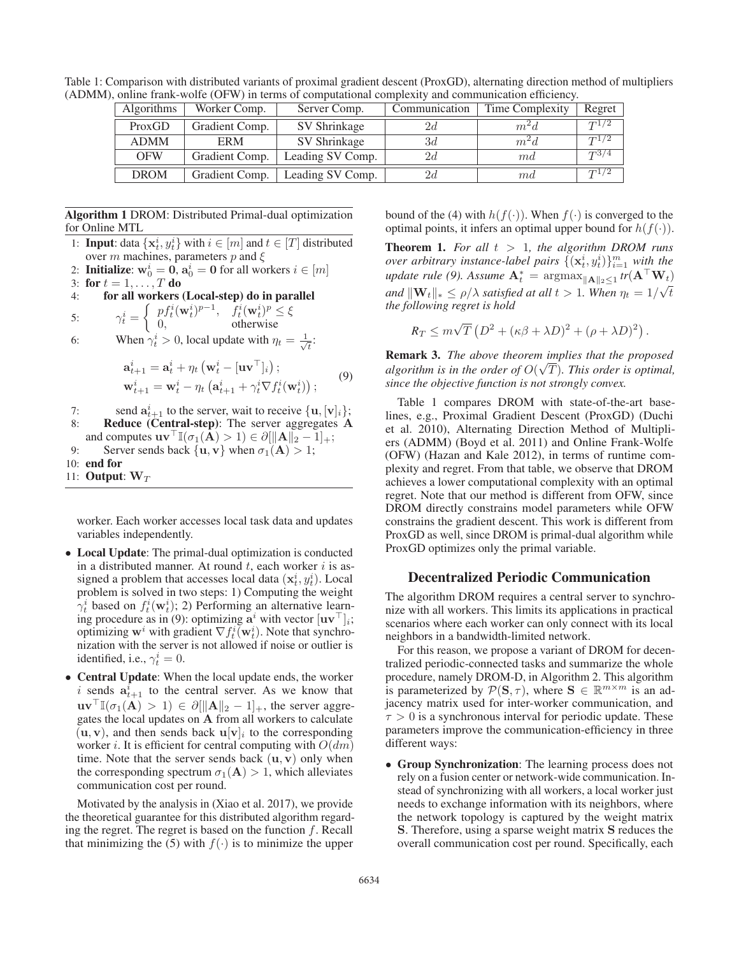| <b>Algorithms</b> | Worker Comp.   | Server Comp.     | Communication | Time Complexity | Regret    |
|-------------------|----------------|------------------|---------------|-----------------|-----------|
| ProxGD            | Gradient Comp. | SV Shrinkage     | 2d            | $m^2d$          | $T^{1/2}$ |
| <b>ADMM</b>       | <b>ERM</b>     | SV Shrinkage     | 3d            | $m^2d$          | $T^{1/2}$ |
| <b>OFW</b>        | Gradient Comp. | Leading SV Comp. | 2d            | md              | $T^{3/4}$ |
| <b>DROM</b>       | Gradient Comp. | Leading SV Comp. | 2d            | md              | $T^{1/2}$ |
|                   |                |                  |               |                 |           |

Table 1: Comparison with distributed variants of proximal gradient descent (ProxGD), alternating direction method of multipliers (ADMM), online frank-wolfe (OFW) in terms of computational complexity and communication efficiency.

Algorithm 1 DROM: Distributed Primal-dual optimization for Online MTL

1: **Input:** data  $\{x_i^i, y_i^i\}$  with  $i \in [m]$  and  $t \in [T]$  distributed over m machines parameters n and  $\xi$ over m machines, parameters p and  $\xi$ 

2: **Initialize:**  $\mathbf{w}_0^i = \mathbf{0}$ ,  $\mathbf{a}_0^i = \mathbf{0}$  for all workers  $i \in [m]$ <br>3: for  $t = 1$   $T$  do

3: for 
$$
t = 1, ..., T
$$

3: for  $t = 1, ..., T$  do<br>4: for all workers (Local-step) do in parallel

5: 
$$
\gamma_t^i = \begin{cases} pf_t^i(\mathbf{w}_t^i)^{p-1}, & f_t^i(\mathbf{w}_t^i)^p \leq \xi \\ 0, & \text{otherwise} \end{cases}
$$

5:  $\gamma_t^i = \begin{cases} 0, & \text{otherwise} \ 0, & \text{otherwise} \end{cases}$ <br>6: When  $\gamma_t^i > 0$ , local update with  $\eta_t = \frac{1}{\sqrt{t}}$ :

$$
\mathbf{a}_{t+1}^i = \mathbf{a}_t^i + \eta_t \left( \mathbf{w}_t^i - [\mathbf{u} \mathbf{v}^\top]_i \right);
$$
  

$$
\mathbf{w}_{t+1}^i = \mathbf{w}_t^i - \eta_t \left( \mathbf{a}_{t+1}^i + \gamma_t^i \nabla f_t^i(\mathbf{w}_t^i) \right);
$$
 (9)

7: send  $\mathbf{a}_{t+1}^i$  to the server, wait to receive  $\{\mathbf{u}, [\mathbf{v}]_i\}$ ;<br>8: **Reduce (Central-sten)**: The server aggregates **A** 8: Reduce (Central-step): The server aggregates **A**

- and computes  $\mathbf{u}\mathbf{v}^\top \mathbb{I}(\sigma_1(\mathbf{A}) > 1) \in \partial [\|\mathbf{A}\|_2 1]_+;$ <br>Server sends back  $\{ \mathbf{u} \ \mathbf{v} \}$  when  $\sigma_1(\mathbf{A}) > 1$ .
- 9: Server sends back  $\{ \mathbf{u}, \mathbf{v} \}$  when  $\sigma_1(\mathbf{A}) > 1$ ;
- 10: end for

11: **Output:**  $W_T$ 

worker. Each worker accesses local task data and updates variables independently.

- Local Update: The primal-dual optimization is conducted in a distributed manner. At round  $t$ , each worker  $i$  is assigned a problem that accesses local data  $(\mathbf{x}_t^i, y_t^i)$ . Local<br>problem is solved in two steps: 1) Computing the weight problem is solved in two steps: 1) Computing the weight  $\gamma_t^i$  based on  $f_t^i(\mathbf{w}_t^i);$  2) Performing an alternative learn-<br>ing procedure as in (9); optimizing  $\mathbf{a}^i$  with vector  $\text{Inv}^{\top}$ . ing procedure as in (9): optimizing  $a^i$  with vector  $[\mathbf{uv}^\top]_i$ ; optimizing  $\mathbf{w}^i$  with gradient  $\nabla f_i^i(\mathbf{w}_t^i)$ . Note that synchro-<br>nization with the server is not allowed if noise or outlier is nization with the server is not allowed if noise or outlier is identified, i.e.,  $\gamma_t^i = 0$ .
- Central Update: When the local update ends, the worker i sends  $\mathbf{a}_{t+1}^i$  to the central server. As we know that  $\mathbf{u}\mathbf{v}^{\top}\mathbb{I}(\sigma_1(\mathbf{A}) > 1) \in \partial \|\mathbf{A}\|_2 - 1]_+,$  the server aggregates the local undates on **A** from all workers to calculate gates the local updates on **A** from all workers to calculate  $(\mathbf{u}, \mathbf{v})$ , and then sends back  $\mathbf{u}[\mathbf{v}]_i$  to the corresponding worker *i*. It is efficient for central computing with  $O(dm)$ time. Note that the server sends back (**u**, **<sup>v</sup>**) only when the corresponding spectrum  $\sigma_1(A) > 1$ , which alleviates communication cost per round.

Motivated by the analysis in (Xiao et al. 2017), we provide the theoretical guarantee for this distributed algorithm regarding the regret. The regret is based on the function  $f$ . Recall that minimizing the (5) with  $f(\cdot)$  is to minimize the upper

bound of the (4) with  $h(f(\cdot))$ . When  $f(\cdot)$  is converged to the optimal points, it infers an optimal upper bound for  $h(f(\cdot))$ .

**Theorem 1.** For all  $t > 1$ , the algorithm DROM runs *over arbitrary instance-label pairs*  $\{(\mathbf{x}_t^i, y_t^i)\}_{i=1}^m$  *with the*<br>undate rule (0) Assume  $\mathbf{A}^* = \text{argmax}_{\mathbf{x}_t}$  **tr**  $(\mathbf{A}^\top \mathbf{W}_t)$  $\mathbf{u}$  pdate rule (9). Assume  $\mathbf{A}_t^* = \arg \max_{\|\mathbf{A}\|_2 \leq 1} tr(\mathbf{A}^\top \mathbf{W}_t)$ *and*  $\|\mathbf{W}_t\|_* \leq \rho/\lambda$  *satisfied at all*  $t > 1$ *. When*  $\eta_t = 1/\sqrt{t}$ <br>*the following regret is hold the following regret is hold*

$$
R_T \le m\sqrt{T} \left( D^2 + (\kappa\beta + \lambda D)^2 + (\rho + \lambda D)^2 \right).
$$

Remark 3. *The above theorem implies that the proposed* √ *algorithm is in the order of*  $O(\sqrt{T})$ *. This order is optimal,* since the objective function is not strongly convex *since the objective function is not strongly convex.*

Table 1 compares DROM with state-of-the-art baselines, e.g., Proximal Gradient Descent (ProxGD) (Duchi et al. 2010), Alternating Direction Method of Multipliers (ADMM) (Boyd et al. 2011) and Online Frank-Wolfe (OFW) (Hazan and Kale 2012), in terms of runtime complexity and regret. From that table, we observe that DROM achieves a lower computational complexity with an optimal regret. Note that our method is different from OFW, since DROM directly constrains model parameters while OFW constrains the gradient descent. This work is different from ProxGD as well, since DROM is primal-dual algorithm while ProxGD optimizes only the primal variable.

# Decentralized Periodic Communication

The algorithm DROM requires a central server to synchronize with all workers. This limits its applications in practical scenarios where each worker can only connect with its local neighbors in a bandwidth-limited network.

For this reason, we propose a variant of DROM for decentralized periodic-connected tasks and summarize the whole procedure, namely DROM-D, in Algorithm 2. This algorithm is parameterized by  $\mathcal{P}(\mathbf{S}, \tau)$ , where  $\mathbf{S} \in \mathbb{R}^{m \times m}$  is an adjacency matrix used for inter-worker communication, and  $\tau > 0$  is a synchronous interval for periodic update. These parameters improve the communication-efficiency in three different ways:

• Group Synchronization: The learning process does not rely on a fusion center or network-wide communication. Instead of synchronizing with all workers, a local worker just needs to exchange information with its neighbors, where the network topology is captured by the weight matrix **S**. Therefore, using a sparse weight matrix **S** reduces the overall communication cost per round. Specifically, each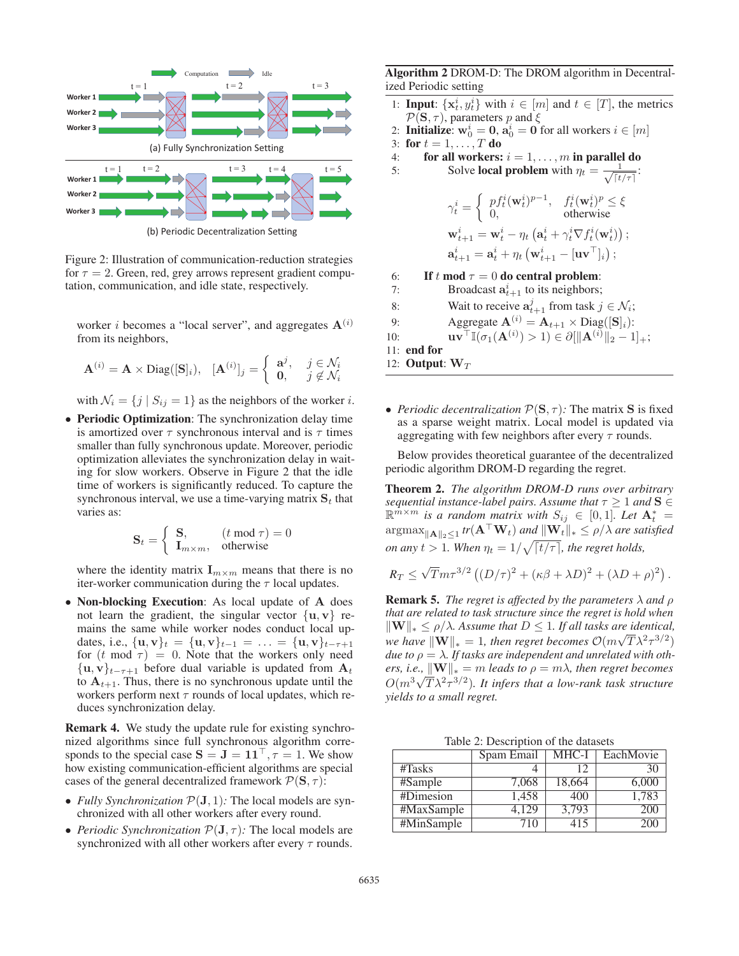

(b) Periodic Decentralization Setting

Figure 2: Illustration of communication-reduction strategies for  $\tau = 2$ . Green, red, grey arrows represent gradient computation, communication, and idle state, respectively.

worker *i* becomes a "local server", and aggregates  $A^{(i)}$ from its neighbors,

$$
\mathbf{A}^{(i)} = \mathbf{A} \times \text{Diag}([\mathbf{S}]_i), \ \ [\mathbf{A}^{(i)}]_j = \begin{cases} \mathbf{a}^j, & j \in \mathcal{N}_i \\ \mathbf{0}, & j \notin \mathcal{N}_i \end{cases}
$$

with  $\mathcal{N}_i = \{j \mid S_{ij} = 1\}$  as the neighbors of the worker i.

• Periodic Optimization: The synchronization delay time is amortized over  $\tau$  synchronous interval and is  $\tau$  times smaller than fully synchronous update. Moreover, periodic optimization alleviates the synchronization delay in waiting for slow workers. Observe in Figure 2 that the idle time of workers is significantly reduced. To capture the synchronous interval, we use a time-varying matrix  $S_t$  that varies as:

$$
\mathbf{S}_t = \begin{cases} \mathbf{S}, & (t \mod \tau) = 0 \\ \mathbf{I}_{m \times m}, & \text{otherwise} \end{cases}
$$

where the identity matrix  $\mathbf{I}_{m \times m}$  means that there is no iter-worker communication during the  $\tau$  local updates.

• Non-blocking Execution: As local update of **A** does not learn the gradient, the singular vector  $\{u, v\}$  remains the same while worker nodes conduct local updates, i.e.,  $\{u, v\}_t = \{u, v\}_{t-1} = \ldots = \{u, v\}_{t-\tau+1}$ for  $(t \mod \tau) = 0$ . Note that the workers only need  $\{**u**, **v**\}_{t-\tau+1}$  before dual variable is updated from  $$ to  $A_{t+1}$ . Thus, there is no synchronous update until the workers perform next  $\tau$  rounds of local updates, which reduces synchronization delay.

Remark 4. We study the update rule for existing synchronized algorithms since full synchronous algorithm corresponds to the special case  $S = J = 11^{\circ}$ ,  $\tau = 1$ . We show how existing communication-efficient algorithms are special cases of the general decentralized framework  $\mathcal{P}(\mathbf{S}, \tau)$ :

- *Fully Synchronization*  $P(\mathbf{J}, 1)$ *:* The local models are synchronized with all other workers after every round.
- *Periodic Synchronization*  $\mathcal{P}(\mathbf{J}, \tau)$ *:* The local models are synchronized with all other workers after every  $\tau$  rounds.

Algorithm 2 DROM-D: The DROM algorithm in Decentralized Periodic setting

- 1: **Input:**  $\{x_i^i, y_i^i\}$  with  $i \in [m]$  and  $t \in [T]$ , the metrics  $\mathcal{P}(S, \tau)$  parameters *n* and  $\xi$  $P(S, \tau)$ , parameters p and  $\xi$
- 2: **Initialize:**  $\mathbf{w}_0^i = \mathbf{0}$ ,  $\mathbf{a}_0^i = \mathbf{0}$  for all workers  $i \in [m]$ <br>3: for  $t = 1$   $T$  do
- 3: for  $t = 1, ..., T$  do<br>4: for all workers:
- 4: **for all workers:**  $i = 1, ..., m$  in parallel do 5: Solve **local problem** with  $\eta_t = \frac{1}{t}$ :

5: Solve local problem with 
$$
\eta_t = \frac{1}{\sqrt{[t/\tau]}}
$$
:  
\n
$$
\gamma_t^i = \begin{cases}\npf_t^i(\mathbf{w}_t^i)^{p-1}, & f_t^i(\mathbf{w}_t^i)^p \le \xi \\
0, & \text{otherwise}\n\end{cases}
$$
\n
$$
\mathbf{w}_{t+1}^i = \mathbf{w}_t^i - \eta_t \left(\mathbf{a}_t^i + \gamma_t^i \nabla f_t^i(\mathbf{w}_t^i)\right);
$$

$$
\mathbf{a}_{t+1}^i = \mathbf{a}_t^i + \eta_t \left( \mathbf{w}_{t+1}^i - [\mathbf{u} \mathbf{v}^\top]_i \right);
$$

6: If t mod  $\tau = 0$  do central problem:<br>7: Broadcast  $a_{i+1}^i$  to its neighbors:

- 7: Broadcast  $a_{t+1}^i$  to its neighbors;
- 8: Wait to receive  $\mathbf{a}_{t+1}^j$  from task  $j \in \mathcal{N}_i$ ;

9: 
$$
\text{Aggregate } \mathbf{A}^{(i)} = \mathbf{A}_{t+1} \times \text{Diag}([\mathbf{S}]_i):
$$
10: 
$$
\text{I.} \mathbf{B}^{(i)} = \mathbf{A}_{t+1} \times \text{Diag}([\mathbf{S}]_i):
$$

10: **uv**<sup> $\top$ </sup> $\mathbb{I}(\sigma_1(\mathbf{A}^{(i)}) > 1) \in \partial [\|\mathbf{A}^{(i)}\|_2 - 1]_+;$ <br>
11: **end for** 

11: end for

- 12: **Output:**  $W_T$
- *Periodic decentralization*  $\mathcal{P}(\mathbf{S}, \tau)$ *:* The matrix **S** is fixed as a sparse weight matrix. Local model is updated via aggregating with few neighbors after every  $\tau$  rounds.

Below provides theoretical guarantee of the decentralized periodic algorithm DROM-D regarding the regret.

Theorem 2. *The algorithm DROM-D runs over arbitrary sequential instance-label pairs. Assume that*  $\tau \geq 1$  *and*  $\mathbf{S} \in$  $\mathbb{R}^{\hat{m} \times m}$  *is a random matrix with*  $S_{ij} \in [0,1]$ *. Let*  $\mathbf{A}_t^* =$  $t =$  $\arg \max_{\|\mathbf{A}\|_2 \leq 1} tr(\mathbf{A}^\top \mathbf{W}_t)$  and  $\|\mathbf{W}_t\|_* \leq \rho/\lambda$  are satisfied *on any*  $t > 1$ *. When*  $\eta_t = 1/\sqrt{\lceil t/\tau \rceil}$ *, the regret holds,* 

$$
R_T \leq \sqrt{T} m \tau^{3/2} \left( (D/\tau)^2 + (\kappa \beta + \lambda D)^2 + (\lambda D + \rho)^2 \right).
$$

**Remark 5.** *The regret is affected by the parameters*  $\lambda$  *and*  $\rho$ *that are related to task structure since the regret is hold when*  $\|\mathbf{W}\|_{*} \leq \rho/\lambda$ . Assume that  $D \leq 1$ . If all tasks are identical,<br>
we have  $\|\mathbf{W}\|_{*} = 1$ , then regret becomes  $O(m\sqrt{T})^{2} \sigma^{3/2}$ . *W*  $||* \leq P/\lambda$ . Assume that  $D \leq 1$ , *tf att tasks are dientical,*<br> *we have*  $||W||_* = 1$ , *then regret becomes*  $O(m\sqrt{T}\lambda^2\tau^{3/2})$ <br> *due to o* =  $\lambda$  *If tasks are independent and unrelated with othdue to*  $\rho = \lambda$ *. If tasks are independent and unrelated with others, i.e.,*  $\|\mathbf{W}\|_{*} = m$  *leads to*  $\rho = m\lambda$ *, then regret becomes*<br> $O(m^3/\sqrt{T})^2\sigma^{3/2}$ *It* infers that a low rank task structure  $O(m^3\sqrt{T}\lambda^2\tau^{3/2})$ . It infers that a low-rank task structure vields to a small regret *yields to a small regret.*

Table 2: Description of the datasets

|                                | Spam Email | MHC-I  | EachMovie |
|--------------------------------|------------|--------|-----------|
| #Tasks                         |            | 12     | 30        |
| #Sample                        | 7,068      | 18,664 | 6,000     |
| #Dimesion                      | 1.458      | 400    | 1,783     |
| $\sqrt{\text{MAXSample}}$      | 4.129      | 3,793  | 200       |
| $\overline{\text{HMinSample}}$ | 710        | 415    | 200       |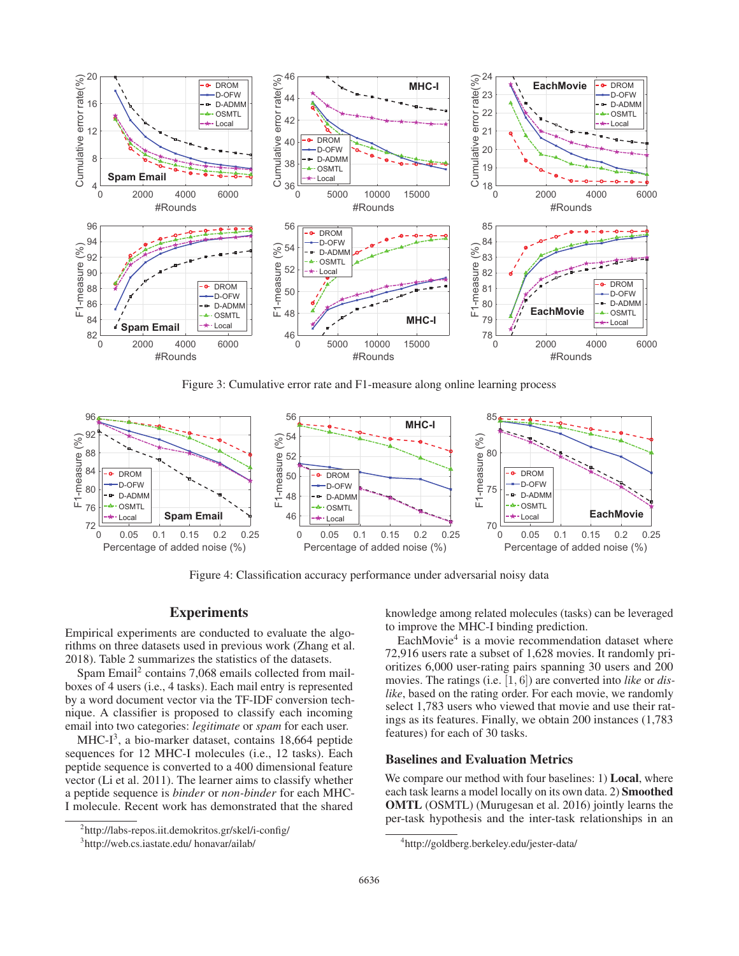

Figure 3: Cumulative error rate and F1-measure along online learning process



Figure 4: Classification accuracy performance under adversarial noisy data

# **Experiments**

Empirical experiments are conducted to evaluate the algorithms on three datasets used in previous work (Zhang et al. 2018). Table 2 summarizes the statistics of the datasets.

Spam Email2 contains 7,068 emails collected from mailboxes of 4 users (i.e., 4 tasks). Each mail entry is represented by a word document vector via the TF-IDF conversion technique. A classifier is proposed to classify each incoming email into two categories: *legitimate* or *spam* for each user.

MHC- $I<sup>3</sup>$ , a bio-marker dataset, contains 18,664 peptide sequences for 12 MHC-I molecules (i.e., 12 tasks). Each peptide sequence is converted to a 400 dimensional feature vector (Li et al. 2011). The learner aims to classify whether a peptide sequence is *binder* or *non-binder* for each MHC-I molecule. Recent work has demonstrated that the shared

knowledge among related molecules (tasks) can be leveraged to improve the MHC-I binding prediction.

EachMovie<sup>4</sup> is a movie recommendation dataset where 72,916 users rate a subset of 1,628 movies. It randomly prioritizes 6,000 user-rating pairs spanning 30 users and 200 movies. The ratings (i.e. [1, 6]) are converted into *like* or *dislike*, based on the rating order. For each movie, we randomly select 1,783 users who viewed that movie and use their ratings as its features. Finally, we obtain 200 instances (1,783 features) for each of 30 tasks.

#### Baselines and Evaluation Metrics

We compare our method with four baselines: 1) **Local**, where each task learns a model locally on its own data. 2) Smoothed OMTL (OSMTL) (Murugesan et al. 2016) jointly learns the per-task hypothesis and the inter-task relationships in an

<sup>2</sup> http://labs-repos.iit.demokritos.gr/skel/i-config/

<sup>3</sup> http://web.cs.iastate.edu/ honavar/ailab/

<sup>4</sup> http://goldberg.berkeley.edu/jester-data/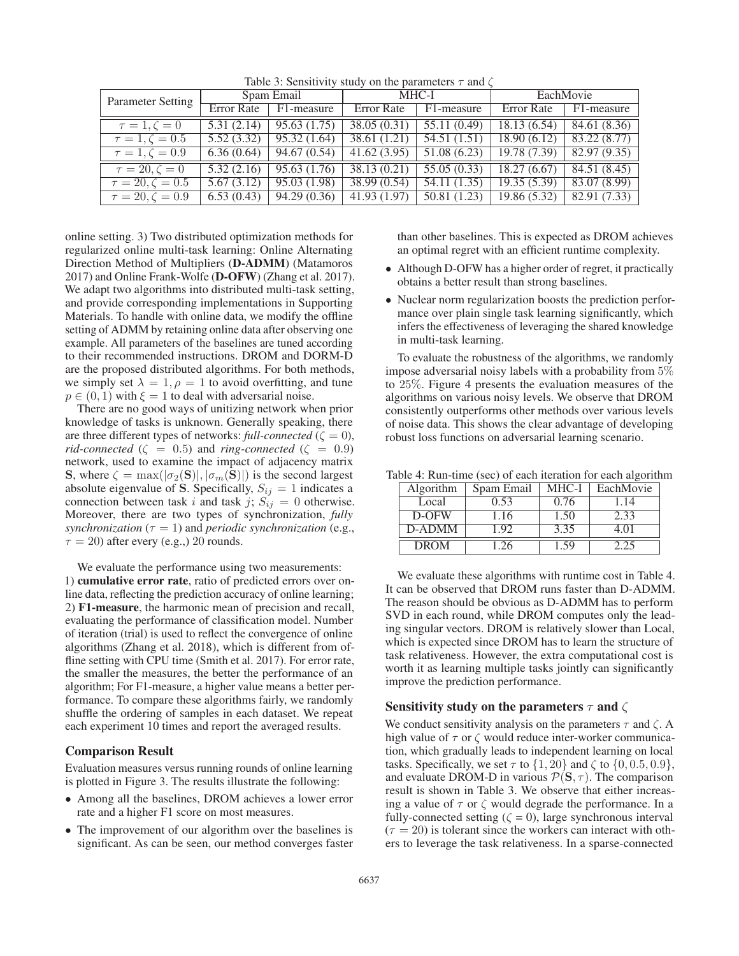| <b>Parameter Setting</b> | Spam Email |              | MHC-I             |              | EachMovie         |              |
|--------------------------|------------|--------------|-------------------|--------------|-------------------|--------------|
|                          | Error Rate | F1-measure   | <b>Error Rate</b> | F1-measure   | <b>Error</b> Rate | F1-measure   |
| $\tau=1, \zeta=0$        | 5.31(2.14) | 95.63(1.75)  | 38.05 (0.31)      | 55.11 (0.49) | 18.13(6.54)       | 84.61 (8.36) |
| $\tau = 1, \zeta = 0.5$  | 5.52(3.32) | 95.32(1.64)  | 38.61(1.21)       | 54.51(1.51)  | 18.90(6.12)       | 83.22(8.77)  |
| $\tau = 1, \zeta = 0.9$  | 6.36(0.64) | 94.67(0.54)  | 41.62(3.95)       | 51.08(6.23)  | 19.78(7.39)       | 82.97(9.35)  |
| $\tau = 20, \zeta = 0$   | 5.32(2.16) | 95.63(1.76)  | 38.13(0.21)       | 55.05(0.33)  | 18.27(6.67)       | 84.51 (8.45) |
| $\tau = 20, \zeta = 0.5$ | 5.67(3.12) | 95.03 (1.98) | 38.99(0.54)       | 54.11(1.35)  | 19.35(5.39)       | 83.07 (8.99) |
| $\tau = 20, \zeta = 0.9$ | 6.53(0.43) | 94.29(0.36)  | 41.93(1.97)       | 50.81(1.23)  | 19.86(5.32)       | 82.91 (7.33) |
|                          |            |              |                   |              |                   |              |

Table 3: Sensitivity study on the parameters  $\tau$  and  $\zeta$ 

online setting. 3) Two distributed optimization methods for regularized online multi-task learning: Online Alternating Direction Method of Multipliers (D-ADMM) (Matamoros 2017) and Online Frank-Wolfe (D-OFW) (Zhang et al. 2017). We adapt two algorithms into distributed multi-task setting, and provide corresponding implementations in Supporting Materials. To handle with online data, we modify the offline setting of ADMM by retaining online data after observing one example. All parameters of the baselines are tuned according to their recommended instructions. DROM and DORM-D are the proposed distributed algorithms. For both methods, we simply set  $\lambda = 1, \rho = 1$  to avoid overfitting, and tune  $p \in (0, 1)$  with  $\xi = 1$  to deal with adversarial noise.

There are no good ways of unitizing network when prior knowledge of tasks is unknown. Generally speaking, there are three different types of networks: *full-connected* ( $\zeta = 0$ ), *rid-connected* ( $\zeta = 0.5$ ) and *ring-connected* ( $\zeta = 0.9$ ) network, used to examine the impact of adjacency matrix **S**, where  $\zeta = \max(|\sigma_2(\mathbf{S})|, |\sigma_m(\mathbf{S})|)$  is the second largest absolute eigenvalue of **S**. Specifically,  $S_{ij} = 1$  indicates a connection between task i and task j;  $S_{ij} = 0$  otherwise. Moreover, there are two types of synchronization, *fully synchronization* ( $\tau = 1$ ) and *periodic synchronization* (e.g.,  $\tau = 20$ ) after every (e.g.,) 20 rounds.

We evaluate the performance using two measurements: 1) cumulative error rate, ratio of predicted errors over online data, reflecting the prediction accuracy of online learning; 2) F1-measure, the harmonic mean of precision and recall, evaluating the performance of classification model. Number of iteration (trial) is used to reflect the convergence of online algorithms (Zhang et al. 2018), which is different from offline setting with CPU time (Smith et al. 2017). For error rate, the smaller the measures, the better the performance of an algorithm; For F1-measure, a higher value means a better performance. To compare these algorithms fairly, we randomly shuffle the ordering of samples in each dataset. We repeat each experiment 10 times and report the averaged results.

## Comparison Result

Evaluation measures versus running rounds of online learning is plotted in Figure 3. The results illustrate the following:

- Among all the baselines, DROM achieves a lower error rate and a higher F1 score on most measures.
- The improvement of our algorithm over the baselines is significant. As can be seen, our method converges faster

than other baselines. This is expected as DROM achieves an optimal regret with an efficient runtime complexity.

- Although D-OFW has a higher order of regret, it practically obtains a better result than strong baselines.
- Nuclear norm regularization boosts the prediction performance over plain single task learning significantly, which infers the effectiveness of leveraging the shared knowledge in multi-task learning.

To evaluate the robustness of the algorithms, we randomly impose adversarial noisy labels with a probability from 5% to 25%. Figure 4 presents the evaluation measures of the algorithms on various noisy levels. We observe that DROM consistently outperforms other methods over various levels of noise data. This shows the clear advantage of developing robust loss functions on adversarial learning scenario.

Table 4: Run-time (sec) of each iteration for each algorithm

| Algorithm   | Spam Email | MHC-I | EachMovie |
|-------------|------------|-------|-----------|
| Local       | 0.53       | 0.76  | 1.14      |
| D-OFW       | 1.16       | 1.50  | 2.33      |
| D-ADMM      | 1.92       | 3.35  | 4.01      |
| <b>DROM</b> | 1.26       | 1.59  | 2.25      |

We evaluate these algorithms with runtime cost in Table 4. It can be observed that DROM runs faster than D-ADMM. The reason should be obvious as D-ADMM has to perform SVD in each round, while DROM computes only the leading singular vectors. DROM is relatively slower than Local, which is expected since DROM has to learn the structure of task relativeness. However, the extra computational cost is worth it as learning multiple tasks jointly can significantly improve the prediction performance.

## Sensitivity study on the parameters  $\tau$  and  $\zeta$

We conduct sensitivity analysis on the parameters  $\tau$  and  $\zeta$ . A high value of  $\tau$  or  $\zeta$  would reduce inter-worker communication, which gradually leads to independent learning on local tasks. Specifically, we set  $\tau$  to  $\{1, 20\}$  and  $\zeta$  to  $\{0, 0.5, 0.9\}$ , and evaluate DROM-D in various  $P(S, \tau)$ . The comparison result is shown in Table 3. We observe that either increasing a value of  $\tau$  or  $\zeta$  would degrade the performance. In a fully-connected setting ( $\zeta = 0$ ), large synchronous interval  $(\tau = 20)$  is tolerant since the workers can interact with others to leverage the task relativeness. In a sparse-connected